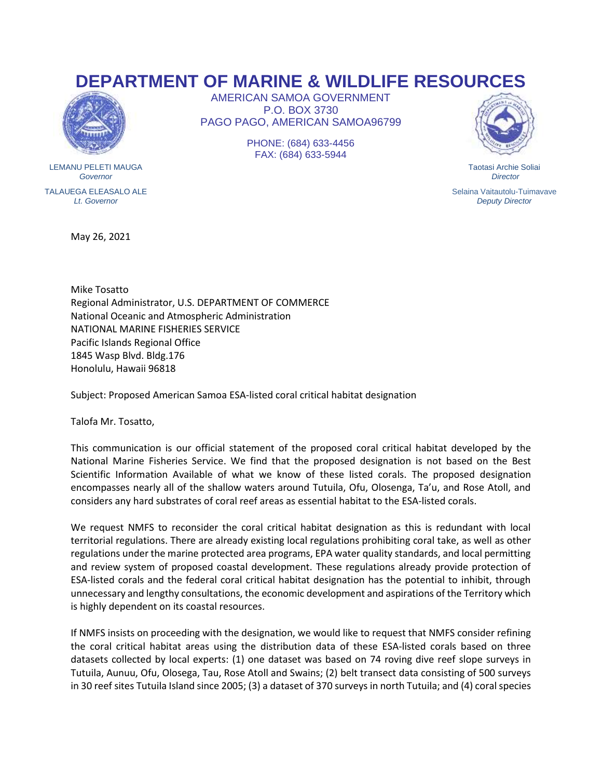## **DEPARTMENT OF MARINE & WILDLIFE RESOURCES**



LEMANU PELETI MAUGA *Governor*

TALAUEGA ELEASALO ALE *Lt. Governor*

May 26, 2021

AMERICAN SAMOA GOVERNMENT P.O. BOX 3730 PAGO PAGO, AMERICAN SAMOA96799

> PHONE: (684) 633-4456 FAX: (684) 633-5944



Taotasi Archie Soliai *Director*

Selaina Vaitautolu-Tuimavave *Deputy Director*

Mike Tosatto Regional Administrator, U.S. DEPARTMENT OF COMMERCE National Oceanic and Atmospheric Administration NATIONAL MARINE FISHERIES SERVICE Pacific Islands Regional Office 1845 Wasp Blvd. Bldg.176 Honolulu, Hawaii 96818

Subject: Proposed American Samoa ESA-listed coral critical habitat designation

Talofa Mr. Tosatto,

This communication is our official statement of the proposed coral critical habitat developed by the National Marine Fisheries Service. We find that the proposed designation is not based on the Best Scientific Information Available of what we know of these listed corals. The proposed designation encompasses nearly all of the shallow waters around Tutuila, Ofu, Olosenga, Ta'u, and Rose Atoll, and considers any hard substrates of coral reef areas as essential habitat to the ESA-listed corals.

We request NMFS to reconsider the coral critical habitat designation as this is redundant with local territorial regulations. There are already existing local regulations prohibiting coral take, as well as other regulations under the marine protected area programs, EPA water quality standards, and local permitting and review system of proposed coastal development. These regulations already provide protection of ESA-listed corals and the federal coral critical habitat designation has the potential to inhibit, through unnecessary and lengthy consultations, the economic development and aspirations of the Territory which is highly dependent on its coastal resources.

If NMFS insists on proceeding with the designation, we would like to request that NMFS consider refining the coral critical habitat areas using the distribution data of these ESA-listed corals based on three datasets collected by local experts: (1) one dataset was based on 74 roving dive reef slope surveys in Tutuila, Aunuu, Ofu, Olosega, Tau, Rose Atoll and Swains; (2) belt transect data consisting of 500 surveys in 30 reef sites Tutuila Island since 2005; (3) a dataset of 370 surveys in north Tutuila; and (4) coral species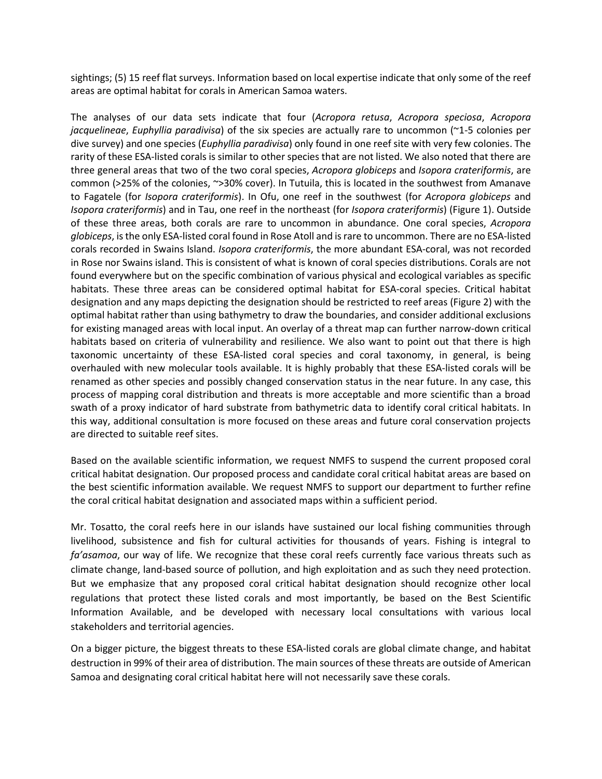sightings; (5) 15 reef flat surveys. Information based on local expertise indicate that only some of the reef areas are optimal habitat for corals in American Samoa waters.

The analyses of our data sets indicate that four (*Acropora retusa*, *Acropora speciosa*, *Acropora jacquelineae*, *Euphyllia paradivisa*) of the six species are actually rare to uncommon (~1-5 colonies per dive survey) and one species (*Euphyllia paradivisa*) only found in one reef site with very few colonies. The rarity of these ESA-listed corals is similar to other species that are not listed. We also noted that there are three general areas that two of the two coral species, *Acropora globiceps* and *Isopora crateriformis*, are common (>25% of the colonies, ~>30% cover). In Tutuila, this is located in the southwest from Amanave to Fagatele (for *Isopora crateriformis*). In Ofu, one reef in the southwest (for *Acropora globiceps* and *Isopora crateriformis*) and in Tau, one reef in the northeast (for *Isopora crateriformis*) (Figure 1). Outside of these three areas, both corals are rare to uncommon in abundance. One coral species, *Acropora globiceps*, is the only ESA-listed coral found in Rose Atoll and is rare to uncommon. There are no ESA-listed corals recorded in Swains Island. *Isopora crateriformis*, the more abundant ESA-coral, was not recorded in Rose nor Swains island. This is consistent of what is known of coral species distributions. Corals are not found everywhere but on the specific combination of various physical and ecological variables as specific habitats. These three areas can be considered optimal habitat for ESA-coral species. Critical habitat designation and any maps depicting the designation should be restricted to reef areas (Figure 2) with the optimal habitat rather than using bathymetry to draw the boundaries, and consider additional exclusions for existing managed areas with local input. An overlay of a threat map can further narrow-down critical habitats based on criteria of vulnerability and resilience. We also want to point out that there is high taxonomic uncertainty of these ESA-listed coral species and coral taxonomy, in general, is being overhauled with new molecular tools available. It is highly probably that these ESA-listed corals will be renamed as other species and possibly changed conservation status in the near future. In any case, this process of mapping coral distribution and threats is more acceptable and more scientific than a broad swath of a proxy indicator of hard substrate from bathymetric data to identify coral critical habitats. In this way, additional consultation is more focused on these areas and future coral conservation projects are directed to suitable reef sites.

Based on the available scientific information, we request NMFS to suspend the current proposed coral critical habitat designation. Our proposed process and candidate coral critical habitat areas are based on the best scientific information available. We request NMFS to support our department to further refine the coral critical habitat designation and associated maps within a sufficient period.

Mr. Tosatto, the coral reefs here in our islands have sustained our local fishing communities through livelihood, subsistence and fish for cultural activities for thousands of years. Fishing is integral to *fa'asamoa*, our way of life. We recognize that these coral reefs currently face various threats such as climate change, land-based source of pollution, and high exploitation and as such they need protection. But we emphasize that any proposed coral critical habitat designation should recognize other local regulations that protect these listed corals and most importantly, be based on the Best Scientific Information Available, and be developed with necessary local consultations with various local stakeholders and territorial agencies.

On a bigger picture, the biggest threats to these ESA-listed corals are global climate change, and habitat destruction in 99% of their area of distribution. The main sources of these threats are outside of American Samoa and designating coral critical habitat here will not necessarily save these corals.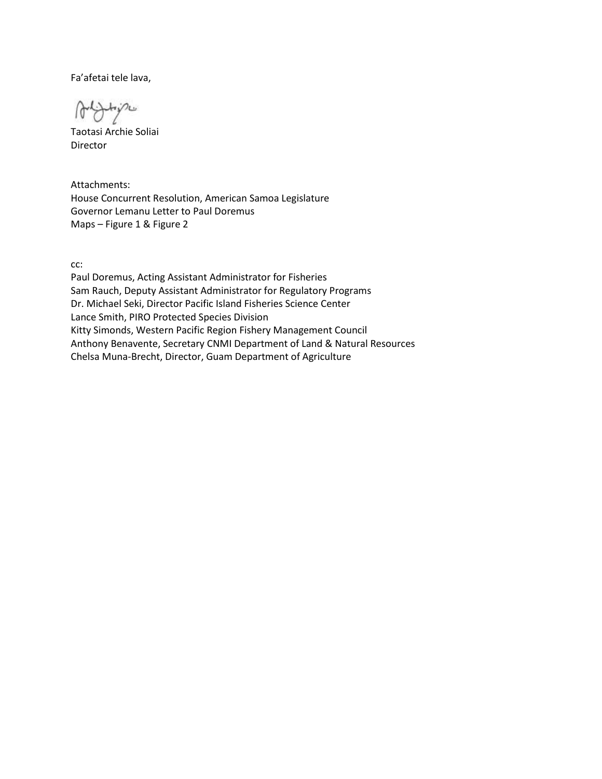Fa'afetai tele lava,

tripe

Taotasi Archie Soliai Director

Attachments: House Concurrent Resolution, American Samoa Legislature Governor Lemanu Letter to Paul Doremus Maps – Figure 1 & Figure 2

cc:

Paul Doremus, Acting Assistant Administrator for Fisheries Sam Rauch, Deputy Assistant Administrator for Regulatory Programs Dr. Michael Seki, Director Pacific Island Fisheries Science Center Lance Smith, PIRO Protected Species Division Kitty Simonds, Western Pacific Region Fishery Management Council Anthony Benavente, Secretary CNMI Department of Land & Natural Resources Chelsa Muna-Brecht, Director, Guam Department of Agriculture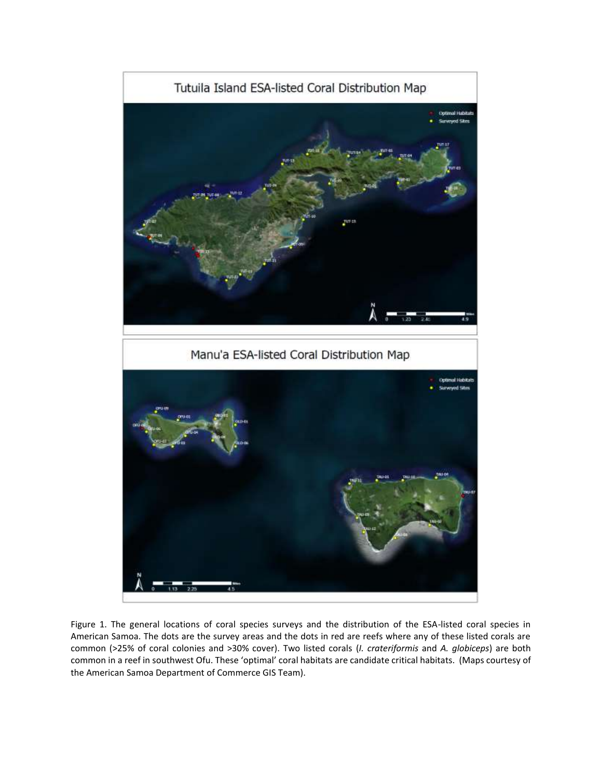

Figure 1. The general locations of coral species surveys and the distribution of the ESA-listed coral species in American Samoa. The dots are the survey areas and the dots in red are reefs where any of these listed corals are common (>25% of coral colonies and >30% cover). Two listed corals (*I. crateriformis* and *A. globiceps*) are both common in a reef in southwest Ofu. These 'optimal' coral habitats are candidate critical habitats. (Maps courtesy of the American Samoa Department of Commerce GIS Team).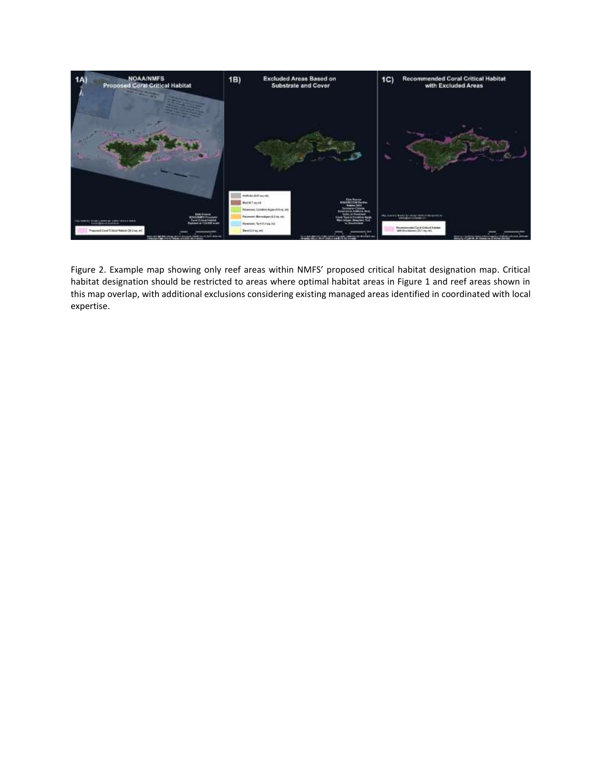

Figure 2. Example map showing only reef areas within NMFS' proposed critical habitat designation map. Critical habitat designation should be restricted to areas where optimal habitat areas in Figure 1 and reef areas shown in this map overlap, with additional exclusions considering existing managed areas identified in coordinated with local expertise.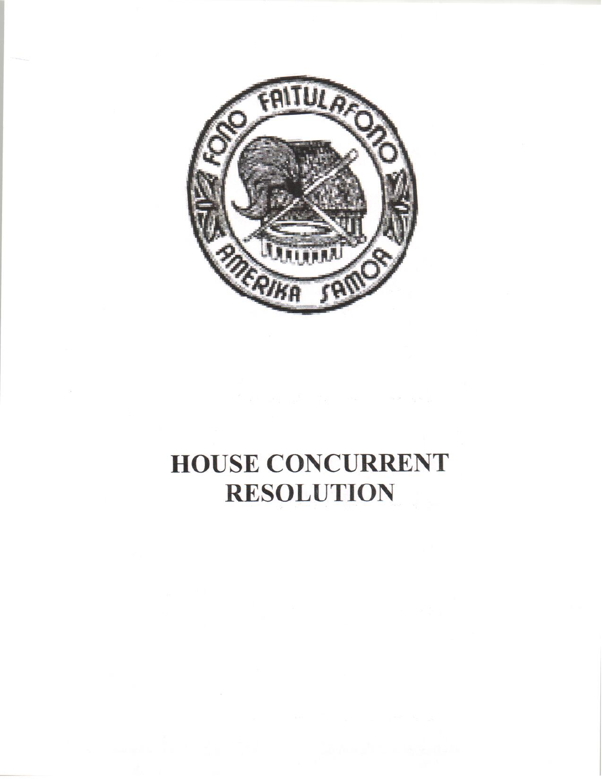

## **HOUSE CONCURRENT RESOLUTION**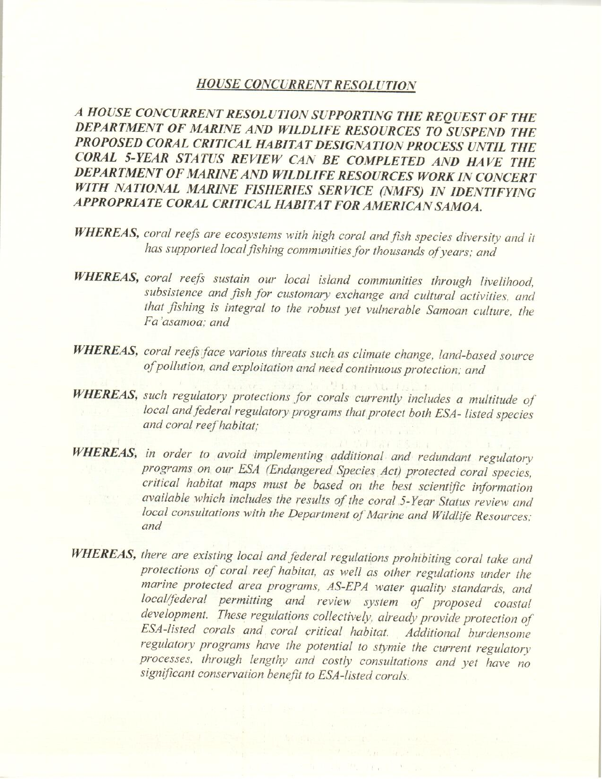## **HOUSE CONCURRENT RESOLUTION**

A HOUSE CONCURRENT RESOLUTION SUPPORTING THE REQUEST OF THE DEPARTMENT OF MARINE AND WILDLIFE RESOURCES TO SUSPEND THE PROPOSED CORAL CRITICAL HABITAT DESIGNATION PROCESS UNTIL THE CORAL 5-YEAR STATUS REVIEW CAN BE COMPLETED AND HAVE THE DEPARTMENT OF MARINE AND WILDLIFE RESOURCES WORK IN CONCERT WITH NATIONAL MARINE FISHERIES SERVICE (NMFS) IN IDENTIFYING APPROPRIATE CORAL CRITICAL HABITAT FOR AMERICAN SAMOA.

- WHEREAS, coral reefs are ecosystems with high coral and fish species diversity and it has supported local fishing communities for thousands of years; and
- WHEREAS, coral reefs sustain our local island communities through livelihood, subsistence and fish for customary exchange and cultural activities, and that fishing is integral to the robust yet vulnerable Samoan culture, the Fa'asamoa: and
- WHEREAS, coral reefs face various threats such as climate change, land-based source of pollution, and exploitation and need continuous protection; and
- WHEREAS, such regulatory protections for corals currently includes a multitude of local and federal regulatory programs that protect both ESA- listed species and coral reef habitat:
- WHEREAS, in order to avoid implementing additional and redundant regulatory programs on our ESA (Endangered Species Act) protected coral species, critical habitat maps must be based on the best scientific information available which includes the results of the coral 5-Year Status review and local consultations with the Department of Marine and Wildlife Resources; and
- WHEREAS, there are existing local and federal regulations prohibiting coral take and protections of coral reef habitat, as well as other regulations under the marine protected area programs, AS-EPA water quality standards, and local/federal permitting and review system of proposed coastal development. These regulations collectively, already provide protection of ESA-listed corals and coral critical habitat. Additional burdensome regulatory programs have the potential to stymie the current regulatory processes, through lengthy and costly consultations and yet have no significant conservation benefit to ESA-listed corals.